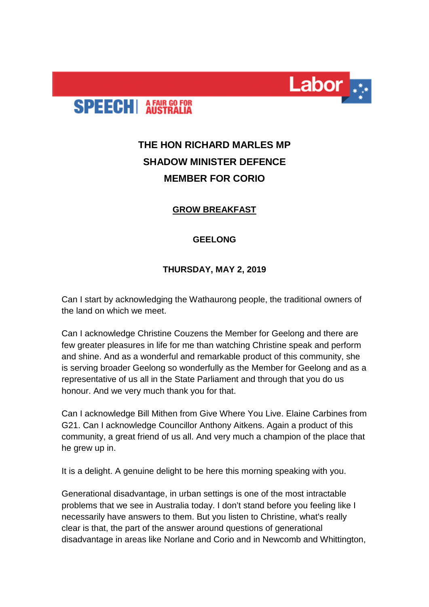



# **THE HON RICHARD MARLES MP SHADOW MINISTER DEFENCE MEMBER FOR CORIO**

## **GROW BREAKFAST**

## **GEELONG**

## **THURSDAY, MAY 2, 2019**

Can I start by acknowledging the Wathaurong people, the traditional owners of the land on which we meet.

Can I acknowledge Christine Couzens the Member for Geelong and there are few greater pleasures in life for me than watching Christine speak and perform and shine. And as a wonderful and remarkable product of this community, she is serving broader Geelong so wonderfully as the Member for Geelong and as a representative of us all in the State Parliament and through that you do us honour. And we very much thank you for that.

Can I acknowledge Bill Mithen from Give Where You Live. Elaine Carbines from G21. Can I acknowledge Councillor Anthony Aitkens. Again a product of this community, a great friend of us all. And very much a champion of the place that he grew up in.

It is a delight. A genuine delight to be here this morning speaking with you.

Generational disadvantage, in urban settings is one of the most intractable problems that we see in Australia today. I don't stand before you feeling like I necessarily have answers to them. But you listen to Christine, what's really clear is that, the part of the answer around questions of generational disadvantage in areas like Norlane and Corio and in Newcomb and Whittington,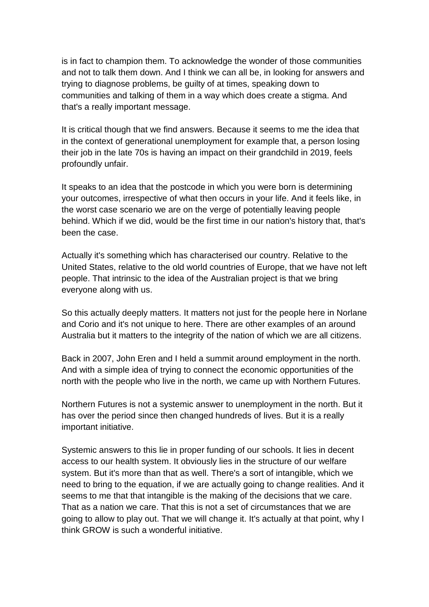is in fact to champion them. To acknowledge the wonder of those communities and not to talk them down. And I think we can all be, in looking for answers and trying to diagnose problems, be guilty of at times, speaking down to communities and talking of them in a way which does create a stigma. And that's a really important message.

It is critical though that we find answers. Because it seems to me the idea that in the context of generational unemployment for example that, a person losing their job in the late 70s is having an impact on their grandchild in 2019, feels profoundly unfair.

It speaks to an idea that the postcode in which you were born is determining your outcomes, irrespective of what then occurs in your life. And it feels like, in the worst case scenario we are on the verge of potentially leaving people behind. Which if we did, would be the first time in our nation's history that, that's been the case.

Actually it's something which has characterised our country. Relative to the United States, relative to the old world countries of Europe, that we have not left people. That intrinsic to the idea of the Australian project is that we bring everyone along with us.

So this actually deeply matters. It matters not just for the people here in Norlane and Corio and it's not unique to here. There are other examples of an around Australia but it matters to the integrity of the nation of which we are all citizens.

Back in 2007, John Eren and I held a summit around employment in the north. And with a simple idea of trying to connect the economic opportunities of the north with the people who live in the north, we came up with Northern Futures.

Northern Futures is not a systemic answer to unemployment in the north. But it has over the period since then changed hundreds of lives. But it is a really important initiative.

Systemic answers to this lie in proper funding of our schools. It lies in decent access to our health system. It obviously lies in the structure of our welfare system. But it's more than that as well. There's a sort of intangible, which we need to bring to the equation, if we are actually going to change realities. And it seems to me that that intangible is the making of the decisions that we care. That as a nation we care. That this is not a set of circumstances that we are going to allow to play out. That we will change it. It's actually at that point, why I think GROW is such a wonderful initiative.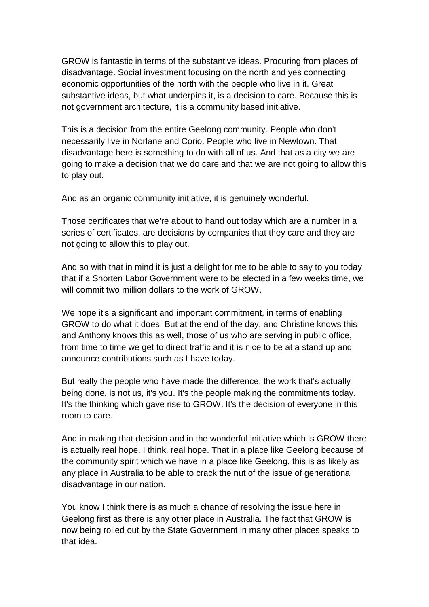GROW is fantastic in terms of the substantive ideas. Procuring from places of disadvantage. Social investment focusing on the north and yes connecting economic opportunities of the north with the people who live in it. Great substantive ideas, but what underpins it, is a decision to care. Because this is not government architecture, it is a community based initiative.

This is a decision from the entire Geelong community. People who don't necessarily live in Norlane and Corio. People who live in Newtown. That disadvantage here is something to do with all of us. And that as a city we are going to make a decision that we do care and that we are not going to allow this to play out.

And as an organic community initiative, it is genuinely wonderful.

Those certificates that we're about to hand out today which are a number in a series of certificates, are decisions by companies that they care and they are not going to allow this to play out.

And so with that in mind it is just a delight for me to be able to say to you today that if a Shorten Labor Government were to be elected in a few weeks time, we will commit two million dollars to the work of GROW.

We hope it's a significant and important commitment, in terms of enabling GROW to do what it does. But at the end of the day, and Christine knows this and Anthony knows this as well, those of us who are serving in public office, from time to time we get to direct traffic and it is nice to be at a stand up and announce contributions such as I have today.

But really the people who have made the difference, the work that's actually being done, is not us, it's you. It's the people making the commitments today. It's the thinking which gave rise to GROW. It's the decision of everyone in this room to care.

And in making that decision and in the wonderful initiative which is GROW there is actually real hope. I think, real hope. That in a place like Geelong because of the community spirit which we have in a place like Geelong, this is as likely as any place in Australia to be able to crack the nut of the issue of generational disadvantage in our nation.

You know I think there is as much a chance of resolving the issue here in Geelong first as there is any other place in Australia. The fact that GROW is now being rolled out by the State Government in many other places speaks to that idea.